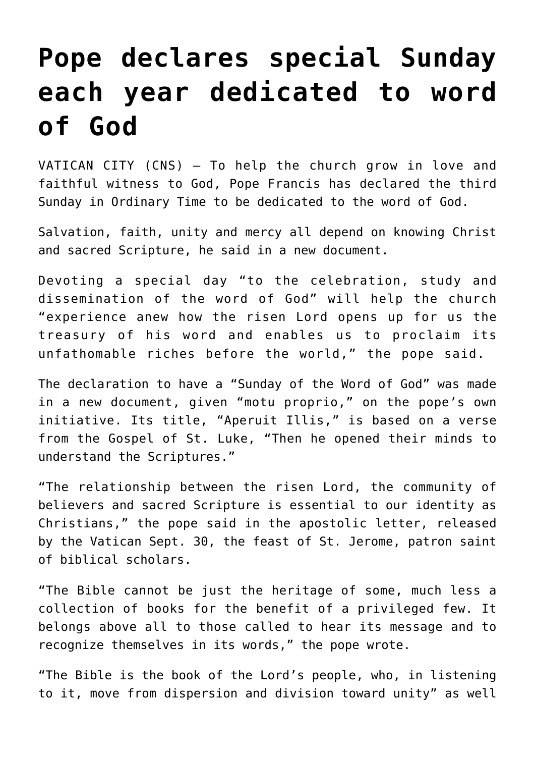## **[Pope declares special Sunday](https://www.osvnews.com/2019/09/30/pope-declares-special-sunday-each-year-dedicated-to-word-of-god/) [each year dedicated to word](https://www.osvnews.com/2019/09/30/pope-declares-special-sunday-each-year-dedicated-to-word-of-god/) [of God](https://www.osvnews.com/2019/09/30/pope-declares-special-sunday-each-year-dedicated-to-word-of-god/)**

VATICAN CITY (CNS) — To help the church grow in love and faithful witness to God, Pope Francis has declared the third Sunday in Ordinary Time to be dedicated to the word of God.

Salvation, faith, unity and mercy all depend on knowing Christ and sacred Scripture, he said in a new document.

Devoting a special day "to the celebration, study and dissemination of the word of God" will help the church "experience anew how the risen Lord opens up for us the treasury of his word and enables us to proclaim its unfathomable riches before the world," the pope said.

The declaration to have a "Sunday of the Word of God" was made in a new document, given "motu proprio," on the pope's own initiative. Its title, "Aperuit Illis," is based on a verse from the Gospel of St. Luke, "Then he opened their minds to understand the Scriptures."

"The relationship between the risen Lord, the community of believers and sacred Scripture is essential to our identity as Christians," the pope said in the apostolic letter, released by the Vatican Sept. 30, the feast of St. Jerome, patron saint of biblical scholars.

"The Bible cannot be just the heritage of some, much less a collection of books for the benefit of a privileged few. It belongs above all to those called to hear its message and to recognize themselves in its words," the pope wrote.

"The Bible is the book of the Lord's people, who, in listening to it, move from dispersion and division toward unity" as well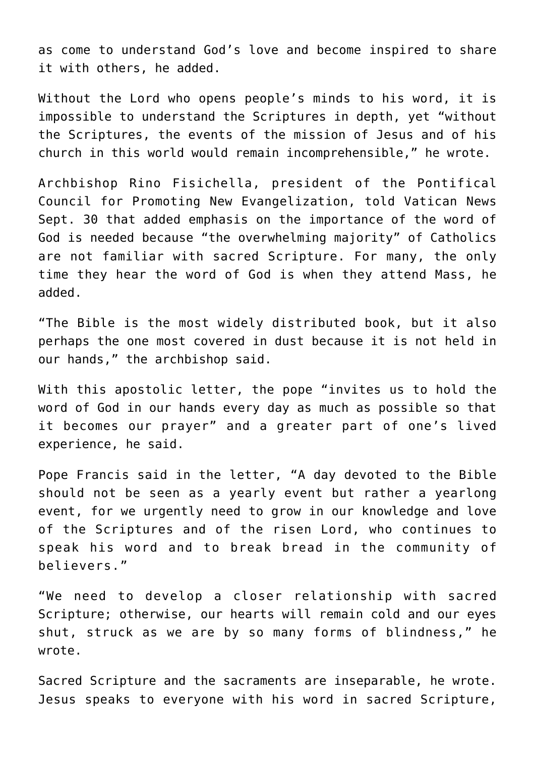as come to understand God's love and become inspired to share it with others, he added.

Without the Lord who opens people's minds to his word, it is impossible to understand the Scriptures in depth, yet "without the Scriptures, the events of the mission of Jesus and of his church in this world would remain incomprehensible," he wrote.

Archbishop Rino Fisichella, president of the Pontifical Council for Promoting New Evangelization, told Vatican News Sept. 30 that added emphasis on the importance of the word of God is needed because "the overwhelming majority" of Catholics are not familiar with sacred Scripture. For many, the only time they hear the word of God is when they attend Mass, he added.

"The Bible is the most widely distributed book, but it also perhaps the one most covered in dust because it is not held in our hands," the archbishop said.

With this apostolic letter, the pope "invites us to hold the word of God in our hands every day as much as possible so that it becomes our prayer" and a greater part of one's lived experience, he said.

Pope Francis said in the letter, "A day devoted to the Bible should not be seen as a yearly event but rather a yearlong event, for we urgently need to grow in our knowledge and love of the Scriptures and of the risen Lord, who continues to speak his word and to break bread in the community of believers."

"We need to develop a closer relationship with sacred Scripture; otherwise, our hearts will remain cold and our eyes shut, struck as we are by so many forms of blindness," he wrote.

Sacred Scripture and the sacraments are inseparable, he wrote. Jesus speaks to everyone with his word in sacred Scripture,